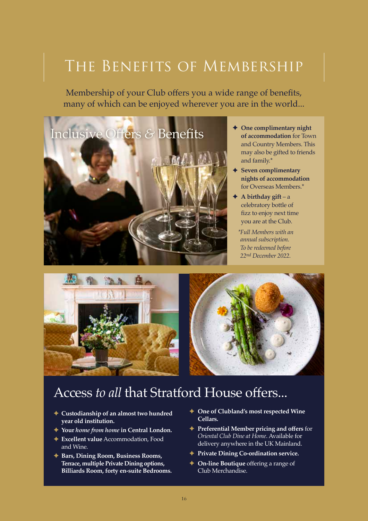## The Benefits of Membership

Membership of your Club offers you a wide range of benefits, many of which can be enjoyed wherever you are in the world...



- **One complimentary night of accommodation** for Town and Country Members. This may also be gifted to friends and family.\*
- **Seven complimentary nights of accommodation** for Overseas Members.\*
- **A birthday gift** a celebratory bottle of fizz to enjoy next time you are at the Club.
	- *\*Full Members with an annual subscription. To be redeemed before 22nd December 2022.*



## Access *to all* that Stratford House offers...

- **Custodianship of an almost two hundred year old institution.**
- **Your** *home from home* **in Central London.**
- **Excellent value** Accommodation, Food and Wine.
- **Bars, Dining Room, Business Rooms, Terrace, multiple Private Dining options, Billiards Room, forty en-suite Bedrooms.**
- **← One of Clubland's most respected Wine Cellars.**
- **Preferential Member pricing and offers** for *Oriental Club Dine at Home*. Available for delivery anywhere in the UK Mainland.
- **Private Dining Co-ordination service.**
- **← On-line Boutique** offering a range of Club Merchandise.